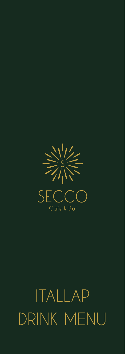

# ITALLAP DRINK MENU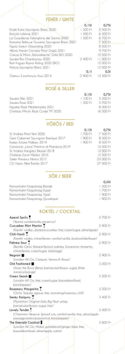# **FEHÉR / WHITE**

|                                                | 0,151    | 0.751      |
|------------------------------------------------|----------|------------|
| Etyeki Kúria Sauvignon Blanc 2020              | 1 200 Ft | 5 500 Ft   |
| Konyári Loliense 2021                          | 400 Ft   | $6,500$ Ft |
| La Guardiense Falanghina del Sannio 2020       | 1 500 Ft | $6700$ Ft  |
| Domaine Bellevue Touraine Sauvignon Blanc 2021 |          | 7 500 Ft   |
| Figula Sóskút Olaszrizling 2020                |          | 8 200 Ft   |
| Albino Armani Corvara Pinot Grigio 2021        |          | 9700 Ft    |
| Caruso & Minini "Naturalmente" Grillo BIO 2020 |          | 10.500 Ft  |
| Sauska Birs Chardonnav 2020                    | 2 400 Ft | 11 000 Ft  |
| Bott Frigyes Rajnai Rizling 2020 (BIO)         |          | 12 000 Ft  |
| Matua Sauvignon Blanc 2021                     |          | 12 000 Ft  |
|                                                | 0.11     | 0.51       |
| Oremus 3 puttonyos Aszú 2014                   | 2 900 Ft | 13 500 Ft  |

# **ROSÉ & SILLER**

|                                    | 0.151       | 0.751     |
|------------------------------------|-------------|-----------|
| Sauska Siller 2021                 | $1,100$ Ft. | 5 500 Ft  |
| Sauska Rosé 2021                   | $1.300$ Ft. | 5700 Ft   |
| Figuiére Rosé Méditerranée 2021    |             | 8 500 Ft  |
| Chateau Minuty Rosé Cuvée "M" 2020 |             | 16 500 Ft |

# **VÖRÖS / RED**

|                                                | 0.151              | 0.751     |
|------------------------------------------------|--------------------|-----------|
| St. Andrea Pinot Noir 2020                     | 1700 Ft            | 7 500 Ft  |
| Gere Cabernet Sauvignon Barrique 2017          | $1900$ Ft          | 8 500 Ft  |
| Kaiken Estate Malbec 2019                      | 1900F <sub>1</sub> | 8 500 Ft  |
| Consorzio: "Lirica" Primitivo di Manduria 2019 |                    | 10 500 Ft |
| St. Andrea Hangács Bikavér 2018                |                    | 12 000 Ft |
| Chateau Escot Médoc 2016                       |                    | 13 500 Ft |
| Takler Primarius Merlot 2017                   |                    | 23 000 Ft |
| G.D. Vaira: Albe Barolo 2017                   |                    | 27 000 Ft |
|                                                |                    |           |

# **SÖR / BEER**

|                                 | 0.33       |
|---------------------------------|------------|
| Pannonhalmi Főapátság Blonde    | 1 500 Fi   |
| Pannonhalmi Főapátság Dupel     | $1,700$ Ft |
| Pannonhalmi Főapátság Tripel    | 1900F      |
| Pannonhalmi Főapátság Quadropel | 1900F1     |
|                                 |            |

# **KOKTÉL / COCKTAIL**

| Aperol Spritz T                                                   | 2 700 Ft |
|-------------------------------------------------------------------|----------|
| (Aperol, szóda/soda, prosecco)                                    |          |
| Cucumber Mint Martini                                             | 2 900 Ft |
| (Kremlin vodka, uborka/cucumber, lime, cukor/sugar, alma/apple)   |          |
| Chili-Vanili <sup>T</sup>                                         | 2 900 Ft |
| (Kremlin vodka, citrom/lemon, vanilia/vanilla, bodza/elderflower) |          |
| Pálinka Sour                                                      | 2 900 Ft |
| (Bestillo Gönci Barack/Apricot pálinka, Dissaronno Amaretto,      |          |
| citrom/lemon, cukor/sugar, tojás/egg)                             |          |
| Negroni                                                           | 2 900 Ft |
| (London Hill Gin, Campari, Vermouth Rosso)                        |          |
| Old Fashioned                                                     | 3 200 Ft |
| (Arran the Burns Blend, barnacukor/brown sugar, Bitter,           |          |
| narancs/orange)                                                   |          |
| Green Smash <b>III</b>                                            | 3 200 Ft |
| (London Hill Gin, lime, cukor/sugar, bazsalikom/basil,            |          |
| bors/pepper)                                                      |          |
| Rosemary Margarita T                                              | 3 200 Ft |
| (Ocho Tequila, agave, lime, rozmaring/rosemary, chili)            |          |
| Smoky Daiguiry T                                                  | 3 400 Ft |
| (Plantation Original Dark, Big Peat whisky,                       |          |
| barnacukor/brown sugar, lime)                                     |          |
| Lovely Tender <sup>y</sup>                                        | 3 400 Ft |
| (Chairman's Reserve Spiced rum, vanilia/vanilla, lime, alma/apple |          |
| passiógyümölcs/passionfruit, bors/pepper)                         |          |
| The Emerald Cocktail                                              | 3 600 Ft |
| (London Hill Gin, Midori, gyömbérsör/ginger beer, lime,           |          |
| bazsalikom/basil, alma/apple, saline)                             |          |
|                                                                   |          |
|                                                                   |          |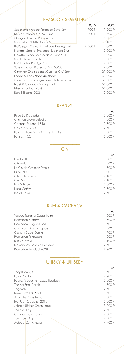### **PEZSGŐ / SPARKLING**

|                                           | 0.151    | 0.751      |
|-------------------------------------------|----------|------------|
| Sacchetto Argento Prosecco Extra Dry      | 1700 Ft  | 7 500 Ft   |
| Dezzani Moscato d' Asti 2021              | 1 900 Ft | 7 700 Ft   |
| Orsoana Lunaria Pecorino Pet Nat          |          | 8700 Ft    |
| Sacchetto Fili Millesimato Brut           |          | 9100F      |
| Wolfberger Crémant d'Alsace Riesling Brut | 2 300 Ft | 11 000 Ft  |
| Merotto "Bareta" Prosecco Superiore Brut  |          | 12 000 Ft  |
| Merotto "Grani Rosa di Nero" Rosé Brut    |          | 13 000 Ft  |
| Sauska Rosé. Extra Brut                   |          | 13 000 Ft  |
| Kreinbacher Prestige Brut                 |          | 14 000 Ft  |
| Sorelle Bronca Prosecco Brut DOCG         |          | 17 000 Ft  |
| Gimonnet Champagne "Cuis I er Cru" Brut   |          | 27 000 Ft  |
| Legras & Haas Blanc de Blancs             |          | 31 000 Ft  |
| Gimonnet Champagne Rosé de Blancs Brut    |          | 33 000 Ft  |
| Moët & Chandon Brut Imperial              |          | 35 000 Ft  |
| Bille.cart Salmon Rosé                    |          | 55 000 Ft  |
| Rare, Millé.sime, 2008                    |          | 115 000 Ft |
|                                           |          |            |

#### **BRANDY**

|                                  | 4cl         |
|----------------------------------|-------------|
| Pisco La Diablada                | 2 500 Ft    |
| Christian Drouin Selection       | $1.300$ Ft  |
| Cognac Ferrand 1840              | 2 300 Ft    |
| Castarede VSOP                   | $2,500$ Ft. |
| Palamen Pale & Dry XO Centenaire | 3 500 Ft    |
| Hennessy XO                      | $6,500$ Ft  |
|                                  |             |

#### **GIN**

**4cl**  London Hill 1 300 Ft 1 500 Ft 1 700 Ft 1 900 Ft 2 100 Ft 2 100 Ft

2 500 Ft

| London Hill                | 1 300 Ft |
|----------------------------|----------|
| Citadelle                  | 1 500 Ft |
| Le Gin de Christian Drouin | 1700 Ft  |
| Hendrick's                 | 1 900 Ft |
| Citadelle Reserve          | 2 100 Ft |
| Gin Mare                   | 2 100 Ft |
| Mrs. Millicent             | 2 300 Ft |
| Nikka Coffey               | 2 300 Ft |
| Isle of Harris             | 2 500 Ft |

## **RUM & CACHAÇA**

|                               | 4cl                |
|-------------------------------|--------------------|
| Ypióca Reserva Castanheira    | 1 300 Ft           |
| Plantation 3 Starts           | 1 300 Ft           |
| Plantation Original Dark      | 1 500 Ft           |
| Chairman's Reserve Spiced     | $1,500$ Ft         |
| Clement Bleue Canne           | $1,700$ Ft         |
| Plantation Pineapple          | 1900F <sub>1</sub> |
| Rum JM VSOP                   | 2100F              |
| Diplomatico Reserva Exclusiva | 2 500 Ft           |
| Plantation Trinidad 2009      | 2 900 Ft           |
|                               |                    |

#### **WHISKY & WHISKEY**

|                                 | 4cl                |
|---------------------------------|--------------------|
| Templeton Rye                   | $1,500$ Ft         |
| Koval Bourbon                   | 2 900 Ft           |
| Heaven's Door Tennessee Bourbon | 5 500 Ft           |
| Teeling Small Batch             | 1700F <sub>1</sub> |
| Togouchi                        | 2 500 Ft           |
| Nikka From The Barrel           | 3 300 Ft           |
| Arran the Burns Blend           | 1 500 Ft           |
| Big Peat Budapest 2018          | 3 500 Ft           |
| Johnnie, Walker Green Label     | 3 500 Ft           |
| Tomatin 12 yrs                  | 2 300 Ft           |
| Glenmorangie 10 yrs             | 2 500 Ft           |
| Tomintoul 10 yrs                | 2 700 Ft           |
| Ardbeg Corryvreckan             | 4 700 Ft           |
|                                 |                    |